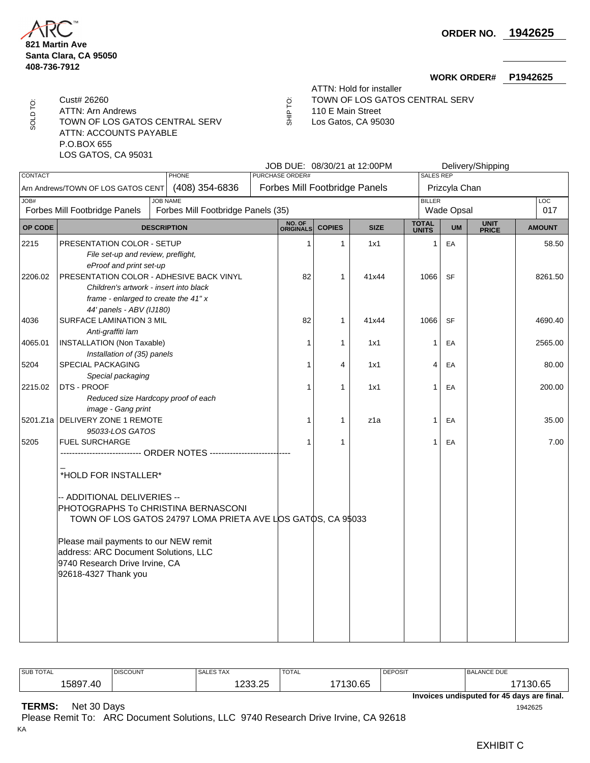**821 Martin Ave Santa Clara, CA 95050 408-736-7912**

SOLD TO: ATTN: Arn Andrews 110 E Main Street

TOWN OF LOS GATOS CENTRAL SERV  $\overline{5}$  Los Gatos, CA 95030

ATTN: ACCOUNTS PAYABLE P.O.BOX 655

LOS GATOS, CA 95031

ATTN: Hold for installer

**WORK ORDER# P1942625**

- Cust# 26260 TOWN OF LOS GATOS CENTRAL SERV
	-
	- SHIP TO:

|                                                                                                |                                                        |                                                                  |                        |                               |               | JOB DUE: 08/30/21 at 12:00PM |                        |                                    | Delivery/Shipping |                   |
|------------------------------------------------------------------------------------------------|--------------------------------------------------------|------------------------------------------------------------------|------------------------|-------------------------------|---------------|------------------------------|------------------------|------------------------------------|-------------------|-------------------|
| <b>CONTACT</b>                                                                                 |                                                        | <b>PHONE</b>                                                     | <b>PURCHASE ORDER#</b> |                               |               |                              | <b>SALES REP</b>       |                                    |                   |                   |
| (408) 354-6836<br>Arn Andrews/TOWN OF LOS GATOS CENT                                           |                                                        |                                                                  |                        | Forbes Mill Footbridge Panels |               |                              |                        | Prizcyla Chan                      |                   |                   |
| JOB#<br><b>JOB NAME</b><br>Forbes Mill Footbridge Panels<br>Forbes Mill Footbridge Panels (35) |                                                        |                                                                  |                        |                               |               |                              |                        | <b>BILLER</b><br><b>Wade Opsal</b> |                   | <b>LOC</b><br>017 |
|                                                                                                |                                                        |                                                                  |                        |                               |               |                              |                        |                                    |                   |                   |
| OP CODE                                                                                        |                                                        | <b>DESCRIPTION</b>                                               |                        | NO. OF<br>ORIGINALS           | <b>COPIES</b> | <b>SIZE</b>                  | <b>TOTAL<br/>UNITS</b> | <b>UM</b>                          | UNIT<br>PRICE     | <b>AMOUNT</b>     |
| 2215                                                                                           | PRESENTATION COLOR - SETUP                             |                                                                  |                        | $\mathbf{1}$                  | 1             | 1x1                          | 1                      | EA                                 |                   | 58.50             |
|                                                                                                | File set-up and review, preflight,                     |                                                                  |                        |                               |               |                              |                        |                                    |                   |                   |
|                                                                                                |                                                        | eProof and print set-up                                          |                        |                               |               |                              |                        |                                    |                   |                   |
| 2206.02                                                                                        | PRESENTATION COLOR - ADHESIVE BACK VINYL               |                                                                  |                        | 82                            | 1             | 41x44                        | 1066                   | <b>SF</b>                          | 8261.50           |                   |
|                                                                                                |                                                        | Children's artwork - insert into black                           |                        |                               |               |                              |                        |                                    |                   |                   |
|                                                                                                |                                                        | frame - enlarged to create the 41" x                             |                        |                               |               |                              |                        |                                    |                   |                   |
|                                                                                                | 44' panels - ABV (IJ180)                               |                                                                  |                        |                               |               |                              |                        |                                    |                   |                   |
| 4036                                                                                           | <b>SURFACE LAMINATION 3 MIL</b>                        |                                                                  |                        | 82                            | 1             | 41x44                        | 1066                   | <b>SF</b>                          |                   | 4690.40           |
| 4065.01                                                                                        | Anti-graffiti lam<br><b>INSTALLATION (Non Taxable)</b> |                                                                  |                        | 1                             | $\mathbf{1}$  | 1x1                          | 1                      |                                    |                   | 2565.00           |
|                                                                                                | Installation of (35) panels                            |                                                                  |                        |                               |               |                              |                        | EA                                 |                   |                   |
| 5204                                                                                           | SPECIAL PACKAGING                                      |                                                                  |                        | 1                             | 4             | 1x1                          | 4                      | EA                                 |                   | 80.00             |
|                                                                                                | Special packaging                                      |                                                                  |                        |                               |               |                              |                        |                                    |                   |                   |
| 2215.02                                                                                        | DTS - PROOF                                            |                                                                  |                        |                               | $\mathbf{1}$  | 1x1                          | 1                      | EA                                 |                   | 200.00            |
|                                                                                                |                                                        | Reduced size Hardcopy proof of each                              |                        |                               |               |                              |                        |                                    |                   |                   |
|                                                                                                | image - Gang print                                     |                                                                  |                        |                               |               |                              |                        |                                    |                   |                   |
|                                                                                                | 5201.Z1a DELIVERY ZONE 1 REMOTE                        |                                                                  |                        | 1                             | 1             | z1a                          | 1                      | EA                                 |                   | 35.00             |
|                                                                                                | 95033-LOS GATOS                                        |                                                                  |                        |                               |               |                              |                        |                                    |                   |                   |
| 5205                                                                                           | <b>FUEL SURCHARGE</b>                                  |                                                                  |                        | 1                             | 1             |                              | 1                      | EA                                 |                   | 7.00              |
|                                                                                                |                                                        | ---------------------------- ORDER NOTES ----------------------- |                        |                               |               |                              |                        |                                    |                   |                   |
|                                                                                                |                                                        |                                                                  |                        |                               |               |                              |                        |                                    |                   |                   |
|                                                                                                | *HOLD FOR INSTALLER*                                   |                                                                  |                        |                               |               |                              |                        |                                    |                   |                   |
|                                                                                                |                                                        |                                                                  |                        |                               |               |                              |                        |                                    |                   |                   |
|                                                                                                | - ADDITIONAL DELIVERIES --                             |                                                                  |                        |                               |               |                              |                        |                                    |                   |                   |
|                                                                                                | PHOTOGRAPHS To CHRISTINA BERNASCONI                    |                                                                  |                        |                               |               |                              |                        |                                    |                   |                   |
| TOWN OF LOS GATOS 24797 LOMA PRIETA AVE LOS GATOS, CA 95033                                    |                                                        |                                                                  |                        |                               |               |                              |                        |                                    |                   |                   |
|                                                                                                | Please mail payments to our NEW remit                  |                                                                  |                        |                               |               |                              |                        |                                    |                   |                   |
|                                                                                                | address: ARC Document Solutions, LLC                   |                                                                  |                        |                               |               |                              |                        |                                    |                   |                   |
|                                                                                                | 9740 Research Drive Irvine, CA                         |                                                                  |                        |                               |               |                              |                        |                                    |                   |                   |
|                                                                                                | 92618-4327 Thank you                                   |                                                                  |                        |                               |               |                              |                        |                                    |                   |                   |
|                                                                                                |                                                        |                                                                  |                        |                               |               |                              |                        |                                    |                   |                   |
|                                                                                                |                                                        |                                                                  |                        |                               |               |                              |                        |                                    |                   |                   |
|                                                                                                |                                                        |                                                                  |                        |                               |               |                              |                        |                                    |                   |                   |
|                                                                                                |                                                        |                                                                  |                        |                               |               |                              |                        |                                    |                   |                   |
|                                                                                                |                                                        |                                                                  |                        |                               |               |                              |                        |                                    |                   |                   |
|                                                                                                |                                                        |                                                                  |                        |                               |               |                              |                        |                                    |                   |                   |

| <b>SUB TOTAL</b>                           | <b>DISCOUNT</b> | <b>SALES TAX</b> | <b>TOTAL</b> | <b>DEPOSIT</b> | <b>BALANCE DUE</b> |  |  |  |  |
|--------------------------------------------|-----------------|------------------|--------------|----------------|--------------------|--|--|--|--|
| 15897.40                                   |                 | '233.25          | 7130.65      |                | 17130.65           |  |  |  |  |
| Invoices undisputed for 45 days are final. |                 |                  |              |                |                    |  |  |  |  |

**TERMS:** Net 30 Days <sup>1942625</sup>

Please Remit To: ARC Document Solutions, LLC 9740 Research Drive Irvine, CA 92618 KA

EXHIBIT C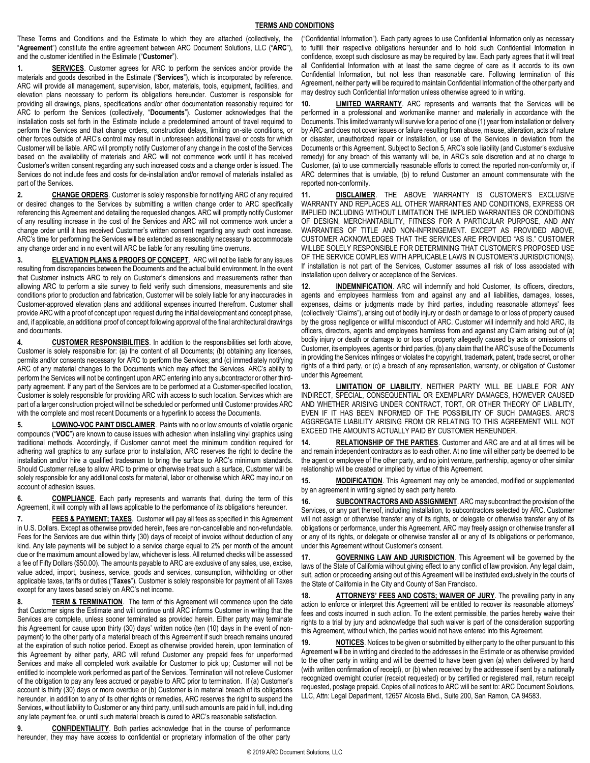These Terms and Conditions and the Estimate to which they are attached (collectively, the "**Agreement**") constitute the entire agreement between ARC Document Solutions, LLC ("**ARC**"), and the customer identified in the Estimate ("**Customer**").

**1. SERVICES**. Customer agrees for ARC to perform the services and/or provide the materials and goods described in the Estimate ("**Services**"), which is incorporated by reference. ARC will provide all management, supervision, labor, materials, tools, equipment, facilities, and elevation plans necessary to perform its obligations hereunder. Customer is responsible for providing all drawings, plans, specifications and/or other documentation reasonably required for ARC to perform the Services (collectively, "**Documents**"). Customer acknowledges that the installation costs set forth in the Estimate include a predetermined amount of travel required to perform the Services and that change orders, construction delays, limiting on-site conditions, or other forces outside of ARC's control may result in unforeseen additional travel or costs for which Customer will be liable. ARC will promptly notify Customer of any change in the cost of the Services based on the availability of materials and ARC will not commence work until it has received Customer's written consent regarding any such increased costs and a change order is issued. The Services do not include fees and costs for de-installation and/or removal of materials installed as part of the Services.

**2. CHANGE ORDERS**. Customer is solely responsible for notifying ARC of any required or desired changes to the Services by submitting a written change order to ARC specifically referencing this Agreement and detailing the requested changes. ARC will promptly notify Customer of any resulting increase in the cost of the Services and ARC will not commence work under a change order until it has received Customer's written consent regarding any such cost increase. ARC's time for performing the Services will be extended as reasonably necessary to accommodate any change order and in no event will ARC be liable for any resulting time overruns.

**3. ELEVATION PLANS & PROOFS OF CONCEPT**. ARC will not be liable for any issues resulting from discrepancies between the Documents and the actual build environment. In the event that Customer instructs ARC to rely on Customer's dimensions and measurements rather than allowing ARC to perform a site survey to field verify such dimensions, measurements and site conditions prior to production and fabrication, Customer will be solely liable for any inaccuracies in Customer-approved elevation plans and additional expenses incurred therefrom. Customer shall provide ARC with a proof of concept upon request during the initial development and concept phase, and, if applicable, an additional proof of concept following approval of the final architectural drawings and documents.

**4. CUSTOMER RESPONSIBILITIES**. In addition to the responsibilities set forth above, Customer is solely responsible for: (a) the content of all Documents; (b) obtaining any licenses, permits and/or consents necessary for ARC to perform the Services; and (c) immediately notifying ARC of any material changes to the Documents which may affect the Services. ARC's ability to perform the Services will not be contingent upon ARC entering into any subcontractor or other thirdparty agreement. If any part of the Services are to be performed at a Customer-specified location, Customer is solely responsible for providing ARC with access to such location. Services which are part of a larger construction project will not be scheduled or performed until Customer provides ARC with the complete and most recent Documents or a hyperlink to access the Documents.

**5. LOW/NO-VOC PAINT DISCLAIMER**. Paints with no or low amounts of volatile organic compounds ("**VOC**") are known to cause issues with adhesion when installing vinyl graphics using traditional methods. Accordingly, if Customer cannot meet the minimum condition required for adhering wall graphics to any surface prior to installation, ARC reserves the right to decline the installation and/or hire a qualified tradesman to bring the surface to ARC's minimum standards. Should Customer refuse to allow ARC to prime or otherwise treat such a surface, Customer will be solely responsible for any additional costs for material, labor or otherwise which ARC may incur on account of adhesion issues.

**6. COMPLIANCE**. Each party represents and warrants that, during the term of this Agreement, it will comply with all laws applicable to the performance of its obligations hereunder.

**7. FEES & PAYMENT; TAXES**. Customer will pay all fees as specified in this Agreement in U.S. Dollars. Except as otherwise provided herein, fees are non-cancellable and non-refundable. Fees for the Services are due within thirty (30) days of receipt of invoice without deduction of any kind. Any late payments will be subject to a service charge equal to 2% per month of the amount due or the maximum amount allowed by law, whichever is less. All returned checks will be assessed a fee of Fifty Dollars (\$50.00). The amounts payable to ARC are exclusive of any sales, use, excise, value added, import, business, service, goods and services, consumption, withholding or other applicable taxes, tariffs or duties ("**Taxes**"). Customer is solely responsible for payment of all Taxes except for any taxes based solely on ARC's net income.

**8. TERM & TERMINATION**. The term of this Agreement will commence upon the date that Customer signs the Estimate and will continue until ARC informs Customer in writing that the Services are complete, unless sooner terminated as provided herein. Either party may terminate this Agreement for cause upon thirty (30) days' written notice (ten (10) days in the event of nonpayment) to the other party of a material breach of this Agreement if such breach remains uncured at the expiration of such notice period. Except as otherwise provided herein, upon termination of this Agreement by either party, ARC will refund Customer any prepaid fees for unperformed Services and make all completed work available for Customer to pick up; Customer will not be entitled to incomplete work performed as part of the Services. Termination will not relieve Customer of the obligation to pay any fees accrued or payable to ARC prior to termination.If (a) Customer's account is thirty (30) days or more overdue or (b) Customer is in material breach of its obligations hereunder, in addition to any of its other rights or remedies, ARC reserves the right to suspend the Services, without liability to Customer or any third party, until such amounts are paid in full, including any late payment fee, or until such material breach is cured to ARC's reasonable satisfaction.

**9. CONFIDENTIALITY**. Both parties acknowledge that in the course of performance hereunder, they may have access to confidential or proprietary information of the other party ("Confidential Information"). Each party agrees to use Confidential Information only as necessary to fulfill their respective obligations hereunder and to hold such Confidential Information in confidence, except such disclosure as may be required by law. Each party agrees that it will treat all Confidential Information with at least the same degree of care as it accords to its own Confidential Information, but not less than reasonable care. Following termination of this Agreement, neither party will be required to maintain Confidential Information of the other party and may destroy such Confidential Information unless otherwise agreed to in writing.

**10. LIMITED WARRANTY**. ARC represents and warrants that the Services will be performed in a professional and workmanlike manner and materially in accordance with the Documents. This limited warranty will survive for a period of one (1) year from installation or delivery by ARC and does not cover issues or failure resulting from abuse, misuse, alteration, acts of nature or disaster, unauthorized repair or installation, or use of the Services in deviation from the Documents or this Agreement. Subject to Section 5, ARC's sole liability (and Customer's exclusive remedy) for any breach of this warranty will be, in ARC's sole discretion and at no charge to Customer, (a) to use commercially reasonable efforts to correct the reported non-conformity or, if ARC determines that is unviable, (b) to refund Customer an amount commensurate with the reported non-conformity.

**11. DISCLAIMER**. THE ABOVE WARRANTY IS CUSTOMER'S EXCLUSIVE WARRANTY AND REPLACES ALL OTHER WARRANTIES AND CONDITIONS, EXPRESS OR IMPLIED INCLUDING WITHOUT LIMITATION THE IMPLIED WARRANTIES OR CONDITIONS OF DESIGN, MERCHANTABILITY, FITNESS FOR A PARTICULAR PURPOSE, AND ANY WARRANTIES OF TITLE AND NON-INFRINGEMENT. EXCEPT AS PROVIDED ABOVE, CUSTOMER ACKNOWLEDGES THAT THE SERVICES ARE PROVIDED "AS IS." CUSTOMER WILLBE SOLELY RESPONSIBLE FOR DETERMINING THAT CUSTOMER'S PROPOSED USE OF THE SERVICE COMPLIES WITH APPLICABLE LAWS IN CUSTOMER'S JURISDICTION(S). If installation is not part of the Services, Customer assumes all risk of loss associated with installation upon delivery or acceptance of the Services.

12. **INDEMNIFICATION**. ARC will indemnify and hold Customer, its officers, directors, agents and employees harmless from and against any and all liabilities, damages, losses, expenses, claims or judgments made by third parties, including reasonable attorneys' fees (collectively "Claims"), arising out of bodily injury or death or damage to or loss of property caused by the gross negligence or willful misconduct of ARC. Customer will indemnify and hold ARC, its officers, directors, agents and employees harmless from and against any Claim arising out of (a) bodily injury or death or damage to or loss of property allegedly caused by acts or omissions of Customer, its employees, agents or third parties, (b) any claim that the ARC's use of the Documents in providing the Services infringes or violates the copyright, trademark, patent, trade secret, or other rights of a third party, or (c) a breach of any representation, warranty, or obligation of Customer under this Agreement.

**13. LIMITATION OF LIABILITY**. NEITHER PARTY WILL BE LIABLE FOR ANY INDIRECT, SPECIAL, CONSEQUENTIAL OR EXEMPLARY DAMAGES, HOWEVER CAUSED AND WHETHER ARISING UNDER CONTRACT, TORT, OR OTHER THEORY OF LIABILITY, EVEN IF IT HAS BEEN INFORMED OF THE POSSIBILITY OF SUCH DAMAGES. ARC'S AGGREGATE LIABILITY ARISING FROM OR RELATING TO THIS AGREEMENT WILL NOT EXCEED THE AMOUNTS ACTUALLY PAID BY CUSTOMER HEREUNDER.

**14. RELATIONSHIP OF THE PARTIES**. Customer and ARC are and at all times will be and remain independent contractors as to each other. At no time will either party be deemed to be the agent or employee of the other party, and no joint venture, partnership, agency or other similar relationship will be created or implied by virtue of this Agreement.

**15. MODIFICATION**. This Agreement may only be amended, modified or supplemented by an agreement in writing signed by each party hereto.

16. **SUBCONTRACTORS AND ASSIGNMENT**. ARC may subcontract the provision of the Services, or any part thereof, including installation, to subcontractors selected by ARC. Customer will not assign or otherwise transfer any of its rights, or delegate or otherwise transfer any of its obligations or performance, under this Agreement. ARC may freely assign or otherwise transfer all or any of its rights, or delegate or otherwise transfer all or any of its obligations or performance, under this Agreement without Customer's consent.

**17. GOVERNING LAW AND JURISDICTION**. This Agreement will be governed by the laws of the State of California without giving effect to any conflict of law provision. Any legal claim, suit, action or proceeding arising out of this Agreement will be instituted exclusively in the courts of the State of California in the City and County of San Francisco.

**18. ATTORNEYS' FEES AND COSTS; WAIVER OF JURY**. The prevailing party in any action to enforce or interpret this Agreement will be entitled to recover its reasonable attorneys' fees and costs incurred in such action. To the extent permissible, the parties hereby waive their rights to a trial by jury and acknowledge that such waiver is part of the consideration supporting this Agreement, without which, the parties would not have entered into this Agreement.

**19. NOTICES**. Notices to be given or submitted by either party to the other pursuant to this Agreement will be in writing and directed to the addresses in the Estimate or as otherwise provided to the other party in writing and will be deemed to have been given (a) when delivered by hand (with written confirmation of receipt), or (b) when received by the addressee if sent by a nationally recognized overnight courier (receipt requested) or by certified or registered mail, return receipt requested, postage prepaid. Copies of all notices to ARC will be sent to: ARC Document Solutions, LLC, Attn: Legal Department, 12657 Alcosta Blvd., Suite 200, San Ramon, CA 94583.